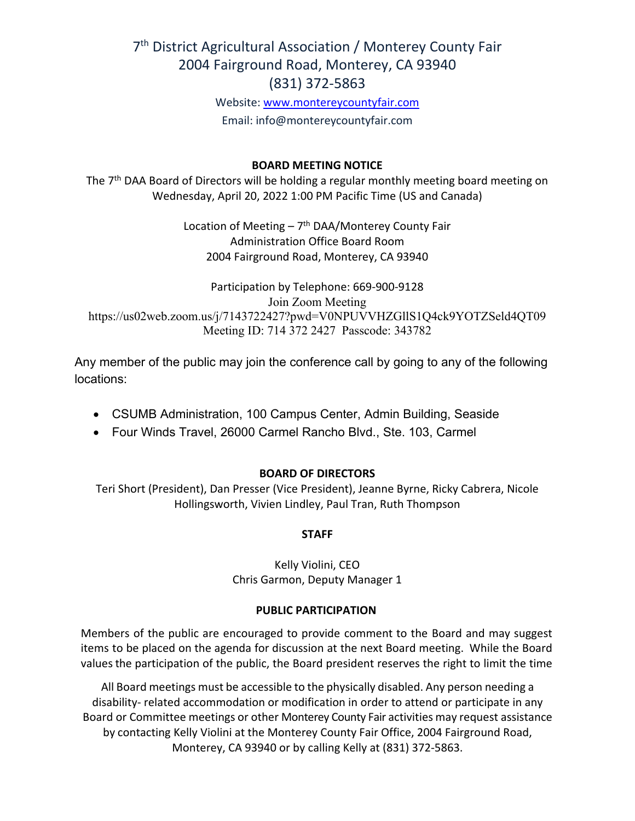# 7<sup>th</sup> District Agricultural Association / Monterey County Fair 2004 Fairground Road, Monterey, CA 93940 (831) 372-5863

Website: [www.montereycountyfair.com](http://www.montereycountyfair.com/) Email: info@montereycountyfair.com

#### **BOARD MEETING NOTICE**

The 7<sup>th</sup> DAA Board of Directors will be holding a regular monthly meeting board meeting on Wednesday, April 20, 2022 1:00 PM Pacific Time (US and Canada)

> Location of Meeting  $-7$ <sup>th</sup> DAA/Monterey County Fair Administration Office Board Room 2004 Fairground Road, Monterey, CA 93940

Participation by Telephone: 669-900-9128 Join Zoom Meeting https://us02web.zoom.us/j/7143722427?pwd=V0NPUVVHZGllS1Q4ck9YOTZSeld4QT09 Meeting ID: 714 372 2427 Passcode: 343782

Any member of the public may join the conference call by going to any of the following locations:

- CSUMB Administration, 100 Campus Center, Admin Building, Seaside
- Four Winds Travel, 26000 Carmel Rancho Blvd., Ste. 103, Carmel

### **BOARD OF DIRECTORS**

Teri Short (President), Dan Presser (Vice President), Jeanne Byrne, Ricky Cabrera, Nicole Hollingsworth, Vivien Lindley, Paul Tran, Ruth Thompson

### **STAFF**

Kelly Violini, CEO Chris Garmon, Deputy Manager 1

#### **PUBLIC PARTICIPATION**

Members of the public are encouraged to provide comment to the Board and may suggest items to be placed on the agenda for discussion at the next Board meeting. While the Board values the participation of the public, the Board president reserves the right to limit the time

All Board meetings must be accessible to the physically disabled. Any person needing a disability- related accommodation or modification in order to attend or participate in any Board or Committee meetings or other Monterey County Fair activities may request assistance by contacting Kelly Violini at the Monterey County Fair Office, 2004 Fairground Road, Monterey, CA 93940 or by calling Kelly at (831) 372-5863.